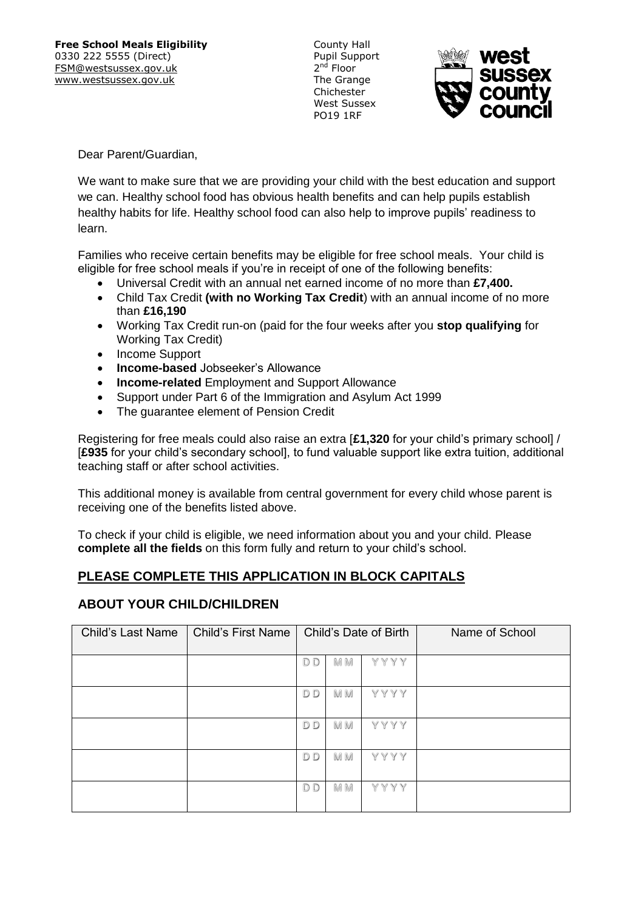County Hall Pupil Support 2<sup>nd</sup> Floor The Grange Chichester West Sussex PO19 1RF



Dear Parent/Guardian,

We want to make sure that we are providing your child with the best education and support we can. Healthy school food has obvious health benefits and can help pupils establish healthy habits for life. Healthy school food can also help to improve pupils' readiness to learn.

Families who receive certain benefits may be eligible for free school meals. Your child is eligible for free school meals if you're in receipt of one of the following benefits:

- Universal Credit with an annual net earned income of no more than **£7,400.**
- Child Tax Credit **(with no Working Tax Credit**) with an annual income of no more than **£16,190**
- Working Tax Credit run-on (paid for the four weeks after you **stop qualifying** for Working Tax Credit)
- Income Support
- **Income-based** Jobseeker's Allowance
- **Income-related** Employment and Support Allowance
- Support under Part 6 of the Immigration and Asylum Act 1999
- The quarantee element of Pension Credit

Registering for free meals could also raise an extra [**£1,320** for your child's primary school] / [**£935** for your child's secondary school], to fund valuable support like extra tuition, additional teaching staff or after school activities.

This additional money is available from central government for every child whose parent is receiving one of the benefits listed above.

To check if your child is eligible, we need information about you and your child. Please **complete all the fields** on this form fully and return to your child's school.

# **PLEASE COMPLETE THIS APPLICATION IN BLOCK CAPITALS**

## **ABOUT YOUR CHILD/CHILDREN**

| <b>Child's Last Name</b> | <b>Child's First Name</b> |                |           | Child's Date of Birth | Name of School |
|--------------------------|---------------------------|----------------|-----------|-----------------------|----------------|
|                          |                           | D D            | M M       | YYYY                  |                |
|                          |                           | D <sub>D</sub> | <b>MM</b> | YYYY                  |                |
|                          |                           | D D            | M M       | YYYY                  |                |
|                          |                           | D D            | M M       | YYYY                  |                |
|                          |                           | D <sub>D</sub> | M M       | YYYY                  |                |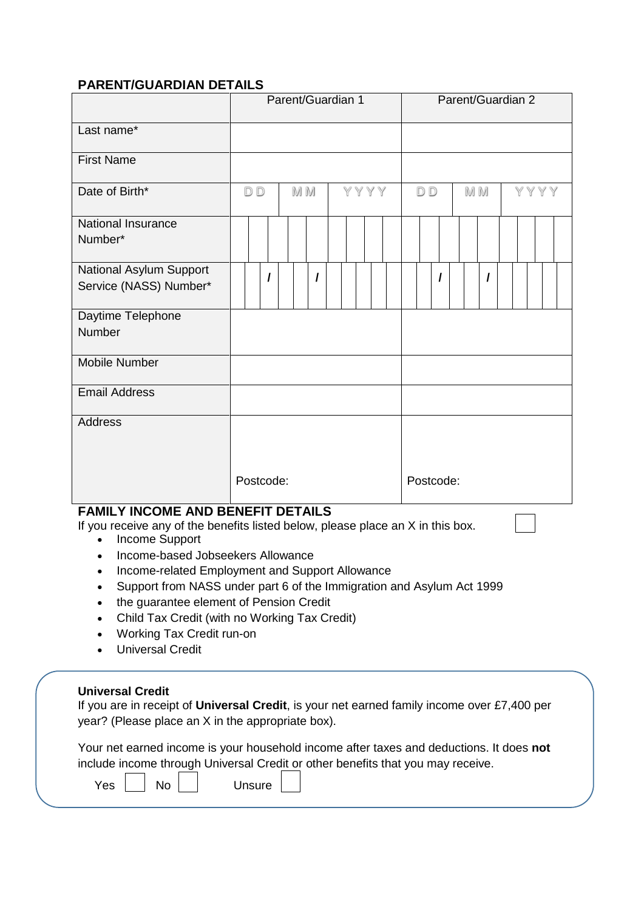# **PARENT/GUARDIAN DETAILS**

|                                                                                                                             |           |   |     | Parent/Guardian 1 |  |      |  |    |           |  | Parent/Guardian 2 |  |      |  |
|-----------------------------------------------------------------------------------------------------------------------------|-----------|---|-----|-------------------|--|------|--|----|-----------|--|-------------------|--|------|--|
| Last name*                                                                                                                  |           |   |     |                   |  |      |  |    |           |  |                   |  |      |  |
| <b>First Name</b>                                                                                                           |           |   |     |                   |  |      |  |    |           |  |                   |  |      |  |
| Date of Birth*                                                                                                              | <b>DD</b> |   | M M |                   |  | YYYY |  | DD |           |  | M M               |  | YYYY |  |
| National Insurance<br>Number*                                                                                               |           |   |     |                   |  |      |  |    |           |  |                   |  |      |  |
| National Asylum Support<br>Service (NASS) Number*                                                                           |           | I |     | I                 |  |      |  |    | $\prime$  |  | I                 |  |      |  |
| Daytime Telephone<br><b>Number</b>                                                                                          |           |   |     |                   |  |      |  |    |           |  |                   |  |      |  |
| <b>Mobile Number</b>                                                                                                        |           |   |     |                   |  |      |  |    |           |  |                   |  |      |  |
| <b>Email Address</b>                                                                                                        |           |   |     |                   |  |      |  |    |           |  |                   |  |      |  |
| <b>Address</b>                                                                                                              |           |   |     |                   |  |      |  |    |           |  |                   |  |      |  |
|                                                                                                                             | Postcode: |   |     |                   |  |      |  |    | Postcode: |  |                   |  |      |  |
| <b>FAMILY INCOME AND BENEFIT DETAILS</b><br>If you receive any of the benefits listed below, please place an X in this box. |           |   |     |                   |  |      |  |    |           |  |                   |  |      |  |

- Income Support
- Income-based Jobseekers Allowance
- Income-related Employment and Support Allowance
- Support from NASS under part 6 of the Immigration and Asylum Act 1999
- the guarantee element of Pension Credit
- Child Tax Credit (with no Working Tax Credit)
- Working Tax Credit run-on
- Universal Credit

### **Universal Credit**

| If you are in receipt of Universal Credit, is your net earned family income over £7,400 per |  |
|---------------------------------------------------------------------------------------------|--|
| year? (Please place an X in the appropriate box).                                           |  |

| Your net earned income is your household income after taxes and deductions. It does not |  |
|-----------------------------------------------------------------------------------------|--|
| include income through Universal Credit or other benefits that you may receive.         |  |

|--|

 $\overline{\phantom{aa}}$  Mo Unsure